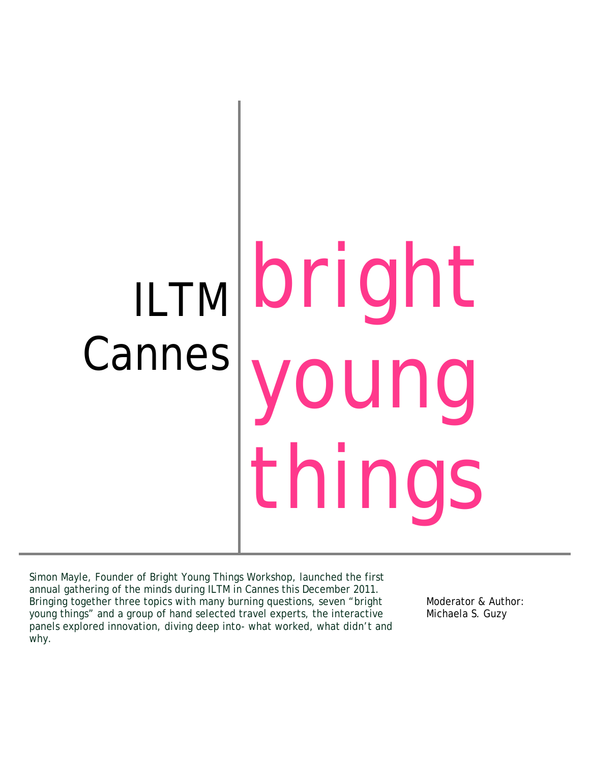# ILTM Cannes bright ung things

Simon Mayle, Founder of Bright Young Things Workshop, launched the first annual gathering of the minds during ILTM in Cannes this December 2011. Bringing together three topics with many burning questions, seven "bright young things" and a group of hand selected travel experts, the interactive panels explored innovation, diving deep into- what worked, what didn't and why.

Moderator & Author: Michaela S. Guzy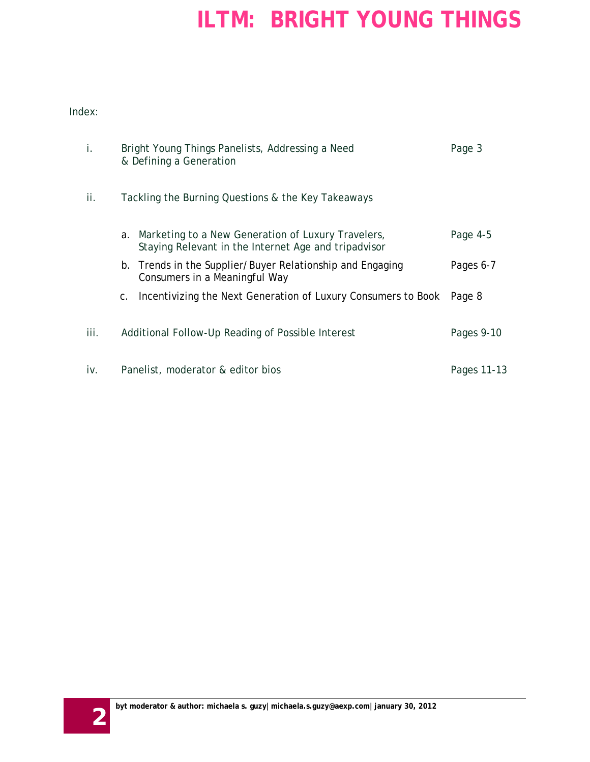Index:

| i.   | Bright Young Things Panelists, Addressing a Need<br>& Defining a Generation                                   | Page 3      |
|------|---------------------------------------------------------------------------------------------------------------|-------------|
| ii.  | Tackling the Burning Questions & the Key Takeaways                                                            |             |
|      | a. Marketing to a New Generation of Luxury Travelers,<br>Staying Relevant in the Internet Age and tripadvisor | Page 4-5    |
|      | b. Trends in the Supplier/Buyer Relationship and Engaging<br>Consumers in a Meaningful Way                    | Pages 6-7   |
|      | c. Incentivizing the Next Generation of Luxury Consumers to Book                                              | Page 8      |
| iii. | Additional Follow-Up Reading of Possible Interest                                                             | Pages 9-10  |
| iv.  | Panelist, moderator & editor bios                                                                             | Pages 11-13 |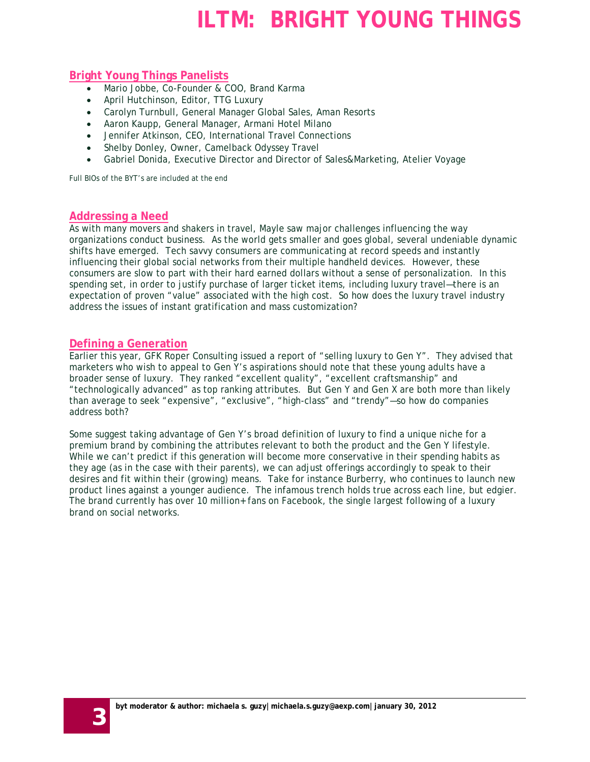#### **Bright Young Things Panelists**

- Mario Jobbe, Co-Founder & COO, Brand Karma
- April Hutchinson, Editor, TTG Luxury
- Carolyn Turnbull, General Manager Global Sales, Aman Resorts
- Aaron Kaupp, General Manager, Armani Hotel Milano
- Jennifer Atkinson, CEO, International Travel Connections
- Shelby Donley, Owner, Camelback Odyssey Travel
- Gabriel Donida, Executive Director and Director of Sales&Marketing, Atelier Voyage

Full BIOs of the BYT's are included at the end

#### **Addressing a Need**

As with many movers and shakers in travel, Mayle saw major challenges influencing the way organizations conduct business. As the world gets smaller and goes global, several undeniable dynamic shifts have emerged. Tech savvy consumers are communicating at record speeds and instantly influencing their global social networks from their multiple handheld devices. However, these consumers are slow to part with their hard earned dollars without a sense of personalization. In this spending set, in order to justify purchase of larger ticket items, including luxury travel—there is an expectation of proven "value" associated with the high cost. So how does the luxury travel industry address the issues of instant gratification and mass customization?

#### **Defining a Generation**

Earlier this year, GFK Roper Consulting issued a report of "selling luxury to Gen Y". They advised that marketers who wish to appeal to Gen Y's aspirations should note that these young adults have a broader sense of luxury. They ranked "excellent quality", "excellent craftsmanship" and "technologically advanced" as top ranking attributes. But Gen Y and Gen X are both more than likely than average to seek "expensive", "exclusive", "high-class" and "trendy"—so how do companies address both?

Some suggest taking advantage of Gen Y's broad definition of luxury to find a unique niche for a premium brand by combining the attributes relevant to both the product and the Gen Y lifestyle. While we can't predict if this generation will become more conservative in their spending habits as they age (as in the case with their parents), we can adjust offerings accordingly to speak to their desires and fit within their (growing) means. Take for instance Burberry, who continues to launch new product lines against a younger audience. The infamous trench holds true across each line, but edgier. The brand currently has over 10 million+ fans on Facebook, the single largest following of a luxury brand on social networks.

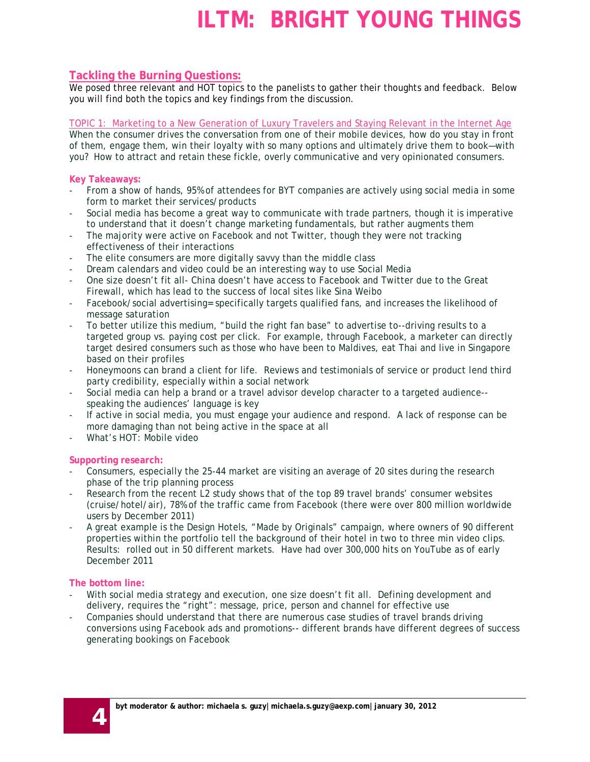#### **Tackling the Burning Questions:**

We posed three relevant and HOT topics to the panelists to gather their thoughts and feedback. Below you will find both the topics and key findings from the discussion.

When the consumer drives the conversation from one of their mobile devices, how do you stay in front of them, engage them, win their loyalty with so many options and ultimately drive them to book—with you? How to attract and retain these fickle, overly communicative and very opinionated consumers. TOPIC 1: Marketing to a New Generation of Luxury Travelers and Staying Relevant in the Internet Age

#### **Key Takeaways:**

- From a show of hands, 95% of attendees for BYT companies are actively using social media in some form to market their services/products
- Social media has become a great way to communicate with trade partners, though it is imperative to understand that it doesn't change marketing fundamentals, but rather augments them
- The majority were active on Facebook and not Twitter, though they were not tracking effectiveness of their interactions
- The elite consumers are more digitally savvy than the middle class
- Dream calendars and video could be an interesting way to use Social Media
- One size doesn't fit all- China doesn't have access to Facebook and Twitter due to the Great Firewall, which has lead to the success of local sites like Sina Weibo
- Facebook/social advertising= specifically targets qualified fans, and increases the likelihood of message saturation
- To better utilize this medium, "build the right fan base" to advertise to--driving results to a targeted group vs. paying cost per click. For example, through Facebook, a marketer can directly target desired consumers such as those who have been to Maldives, eat Thai and live in Singapore based on their profiles
- Honeymoons can brand a client for life. Reviews and testimonials of service or product lend third party credibility, especially within a social network
- Social media can help a brand or a travel advisor develop character to a targeted audience- speaking the audiences' language is key
- If active in social media, you must engage your audience and respond. A lack of response can be more damaging than not being active in the space at all
- What's HOT: Mobile video

#### **Supporting research:**

- Consumers, especially the 25-44 market are visiting an average of 20 sites during the research phase of the trip planning process
- Research from the recent L2 study shows that of the top 89 travel brands' consumer websites (cruise/hotel/air), 78% of the traffic came from Facebook (there were over 800 million worldwide users by December 2011)
- A great example is the Design Hotels, "Made by Originals" campaign, where owners of 90 different properties within the portfolio tell the background of their hotel in two to three min video clips. Results: rolled out in 50 different markets. Have had over 300,000 hits on YouTube as of early December 2011

#### **The bottom line:**

- With social media strategy and execution, one size doesn't fit all. Defining development and delivery, requires the "right": message, price, person and channel for effective use
- Companies should understand that there are numerous case studies of travel brands driving conversions using Facebook ads and promotions-- different brands have different degrees of success generating bookings on Facebook

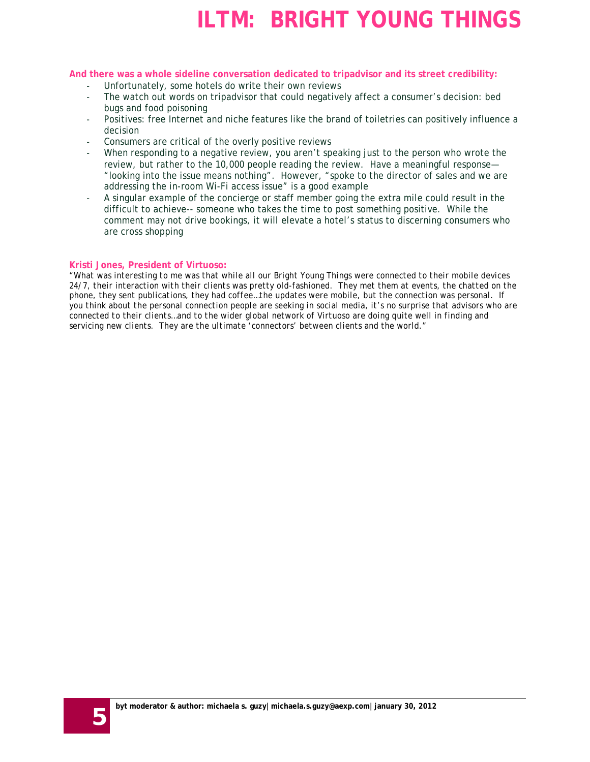#### **And there was a whole sideline conversation dedicated to tripadvisor and its street credibility:**

- Unfortunately, some hotels do write their own reviews
- The watch out words on tripadvisor that could negatively affect a consumer's decision: bed bugs and food poisoning
- Positives: free Internet and niche features like the brand of toiletries can positively influence a decision
- Consumers are critical of the overly positive reviews
- When responding to a negative review, you aren't speaking just to the person who wrote the review, but rather to the 10,000 people reading the review. Have a meaningful response— "looking into the issue means nothing". However, "spoke to the director of sales and we are addressing the in-room Wi-Fi access issue" is a good example
- A singular example of the concierge or staff member going the extra mile could result in the difficult to achieve-- someone who takes the time to post something positive. While the comment may not drive bookings, it will elevate a hotel's status to discerning consumers who are cross shopping

#### **Kristi Jones, President of Virtuoso:**

*"What was interesting to me was that while all our Bright Young Things were connected to their mobile devices 24/7, their interaction with their clients was pretty old-fashioned. They met them at events, the chatted on the phone, they sent publications, they had coffee…the updates were mobile, but the connection was personal. If you think about the personal connection people are seeking in social media, it's no surprise that advisors who are connected to their clients…and to the wider global network of Virtuoso are doing quite well in finding and servicing new clients. They are the ultimate 'connectors' between clients and the world."*

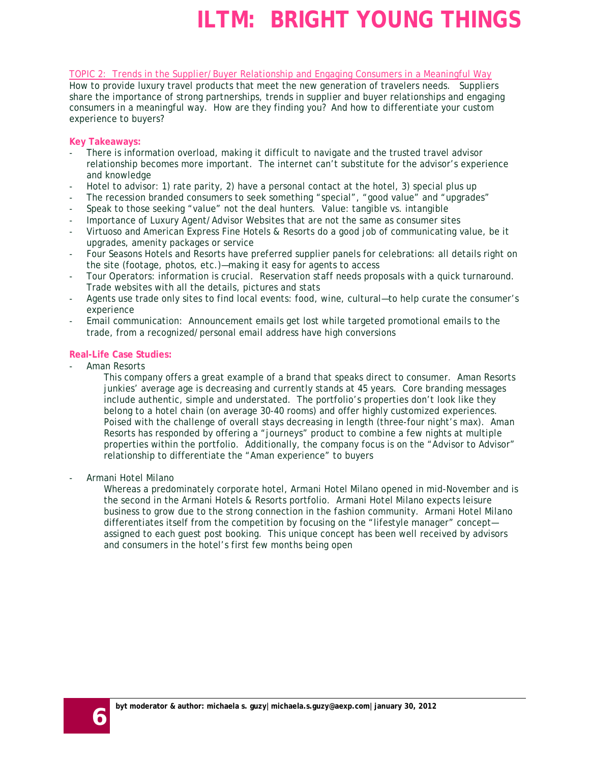TOPIC 2: Trends in the Supplier/Buyer Relationship and Engaging Consumers in a Meaningful Way

How to provide luxury travel products that meet the new generation of travelers needs. Suppliers share the importance of strong partnerships, trends in supplier and buyer relationships and engaging consumers in a meaningful way. How are they finding you? And how to differentiate your custom experience to buyers?

#### **Key Takeaways:**

- There is information overload, making it difficult to navigate and the trusted travel advisor relationship becomes more important. The internet can't substitute for the advisor's experience and knowledge
- Hotel to advisor: 1) rate parity, 2) have a personal contact at the hotel, 3) special plus up
- The recession branded consumers to seek something "special", "good value" and "upgrades"
- Speak to those seeking "value" not the deal hunters. Value: tangible vs. intangible
- Importance of Luxury Agent/Advisor Websites that are not the same as consumer sites
- Virtuoso and American Express Fine Hotels & Resorts do a good job of communicating value, be it upgrades, amenity packages or service
- Four Seasons Hotels and Resorts have preferred supplier panels for celebrations: all details right on the site (footage, photos, etc.)—making it easy for agents to access
- Tour Operators: information is crucial. Reservation staff needs proposals with a quick turnaround. Trade websites with all the details, pictures and stats
- Agents use trade only sites to find local events: food, wine, cultural—to help curate the consumer's experience
- Email communication: Announcement emails get lost while targeted promotional emails to the trade, from a recognized/personal email address have high conversions

#### **Real-Life Case Studies:**

Aman Resorts

This company offers a great example of a brand that speaks direct to consumer. Aman Resorts junkies' average age is decreasing and currently stands at 45 years. Core branding messages include authentic, simple and understated. The portfolio's properties don't look like they belong to a hotel chain (on average 30-40 rooms) and offer highly customized experiences. Poised with the challenge of overall stays decreasing in length (three-four night's max). Aman Resorts has responded by offering a "journeys" product to combine a few nights at multiple properties within the portfolio. Additionally, the company focus is on the "Advisor to Advisor" relationship to differentiate the "Aman experience" to buyers

- Armani Hotel Milano

Whereas a predominately corporate hotel, Armani Hotel Milano opened in mid-November and is the second in the Armani Hotels & Resorts portfolio. Armani Hotel Milano expects leisure business to grow due to the strong connection in the fashion community. Armani Hotel Milano differentiates itself from the competition by focusing on the "lifestyle manager" concept assigned to each guest post booking. This unique concept has been well received by advisors and consumers in the hotel's first few months being open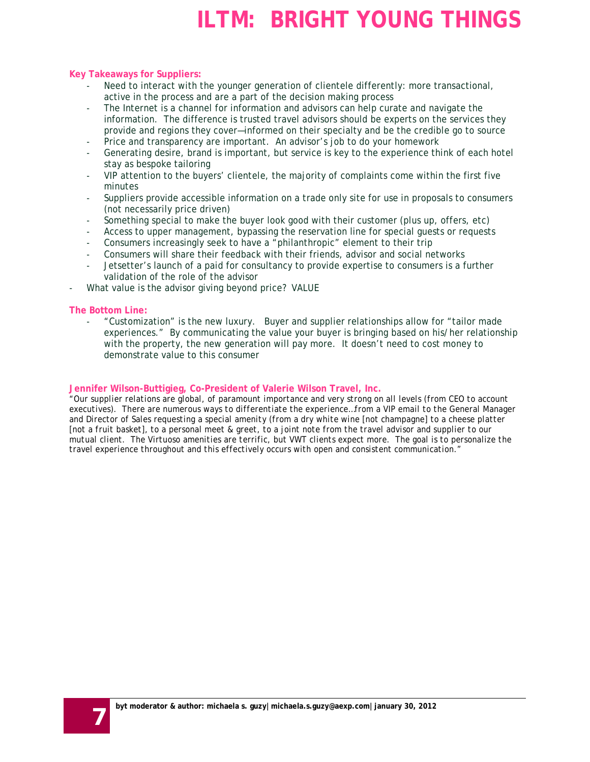#### **Key Takeaways for Suppliers:**

- Need to interact with the younger generation of clientele differently: more transactional, active in the process and are a part of the decision making process
- The Internet is a channel for information and advisors can help curate and navigate the information. The difference is trusted travel advisors should be experts on the services they provide and regions they cover—informed on their specialty and be the credible go to source
- Price and transparency are important. An advisor's job to do your homework
- Generating desire, brand is important, but service is key to the experience think of each hotel stay as bespoke tailoring
- VIP attention to the buyers' clientele, the majority of complaints come within the first five minutes
- Suppliers provide accessible information on a trade only site for use in proposals to consumers (not necessarily price driven)
- Something special to make the buyer look good with their customer (plus up, offers, etc)
- Access to upper management, bypassing the reservation line for special guests or requests
- Consumers increasingly seek to have a "philanthropic" element to their trip
- Consumers will share their feedback with their friends, advisor and social networks
- Jetsetter's launch of a paid for consultancy to provide expertise to consumers is a further validation of the role of the advisor
- What value is the advisor giving beyond price? VALUE

#### **The Bottom Line:**

- "Customization" is the new luxury. Buyer and supplier relationships allow for "tailor made experiences." By communicating the value your buyer is bringing based on his/her relationship with the property, the new generation will pay more. It doesn't need to cost money to demonstrate value to this consumer

#### **Jennifer Wilson-Buttigieg, Co-President of Valerie Wilson Travel, Inc.**

*"Our supplier relations are global, of paramount importance and very strong on all levels (from CEO to account executives). There are numerous ways to differentiate the experience…from a VIP email to the General Manager and Director of Sales requesting a special amenity (from a dry white wine [not champagne] to a cheese platter [not a fruit basket], to a personal meet & greet, to a joint note from the travel advisor and supplier to our mutual client. The Virtuoso amenities are terrific, but VWT clients expect more. The goal is to personalize the travel experience throughout and this effectively occurs with open and consistent communication."*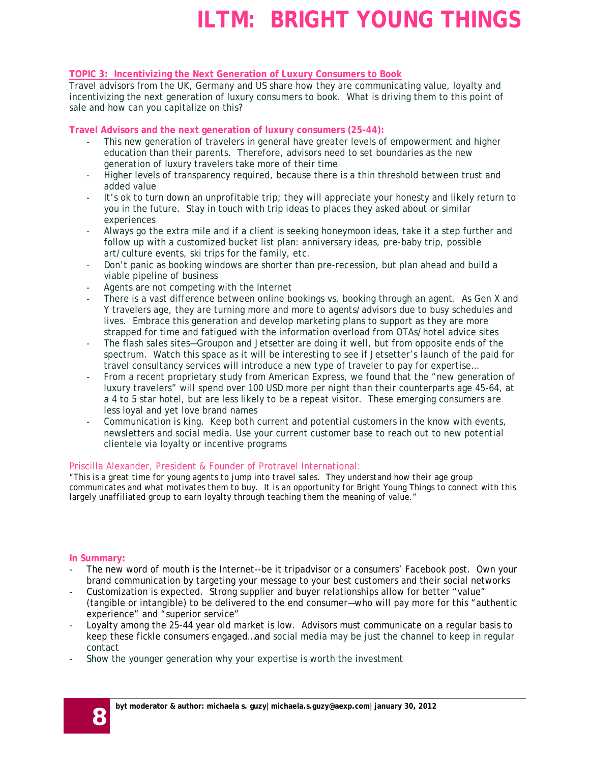#### **TOPIC 3: Incentivizing the Next Generation of Luxury Consumers to Book**

Travel advisors from the UK, Germany and US share how they are communicating value, loyalty and incentivizing the next generation of luxury consumers to book. What is driving them to this point of sale and how can you capitalize on this?

#### **Travel Advisors and the next generation of luxury consumers (25-44):**

- This new generation of travelers in general have greater levels of empowerment and higher education than their parents. Therefore, advisors need to set boundaries as the new generation of luxury travelers take more of their time
- Higher levels of transparency required, because there is a thin threshold between trust and added value
- It's ok to turn down an unprofitable trip; they will appreciate your honesty and likely return to you in the future. Stay in touch with trip ideas to places they asked about or similar experiences
- Always go the extra mile and if a client is seeking honeymoon ideas, take it a step further and follow up with a customized bucket list plan: anniversary ideas, pre-baby trip, possible art/culture events, ski trips for the family, etc.
- Don't panic as booking windows are shorter than pre-recession, but plan ahead and build a viable pipeline of business
- Agents are not competing with the Internet
- There is a vast difference between online bookings vs. booking through an agent. As Gen X and Y travelers age, they are turning more and more to agents/advisors due to busy schedules and lives. Embrace this generation and develop marketing plans to support as they are more strapped for time and fatigued with the information overload from OTAs/hotel advice sites
- The flash sales sites—Groupon and Jetsetter are doing it well, but from opposite ends of the spectrum. Watch this space as it will be interesting to see if Jetsetter's launch of the paid for travel consultancy services will introduce a new type of traveler to pay for expertise…
- From a recent proprietary study from American Express, we found that the "new generation of luxury travelers" will spend over 100 USD more per night than their counterparts age 45-64, at a 4 to 5 star hotel, but are less likely to be a repeat visitor. These emerging consumers are less loyal and yet love brand names
- Communication is king. Keep both current and potential customers in the know with events, newsletters and social media. Use your current customer base to reach out to new potential clientele via loyalty or incentive programs

#### Priscilla Alexander, President & Founder of Protravel International:

*"This is a great time for young agents to jump into travel sales. They understand how their age group communicates and what motivates them to buy. It is an opportunity for Bright Young Things to connect with this largely unaffiliated group to earn loyalty through teaching them the meaning of value."*

#### **In Summary:**

- The new word of mouth is the Internet--be it tripadvisor or a consumers' Facebook post. Own your brand communication by targeting your message to your best customers and their social networks
- Customization is expected. Strong supplier and buyer relationships allow for better "value" (tangible or intangible) to be delivered to the end consumer—who will pay more for this "authentic experience" and "superior service"
- Loyalty among the 25-44 year old market is low. Advisors must communicate on a regular basis to keep these fickle consumers engaged…and social media may be just the channel to keep in regular contact
- Show the younger generation why your expertise is worth the investment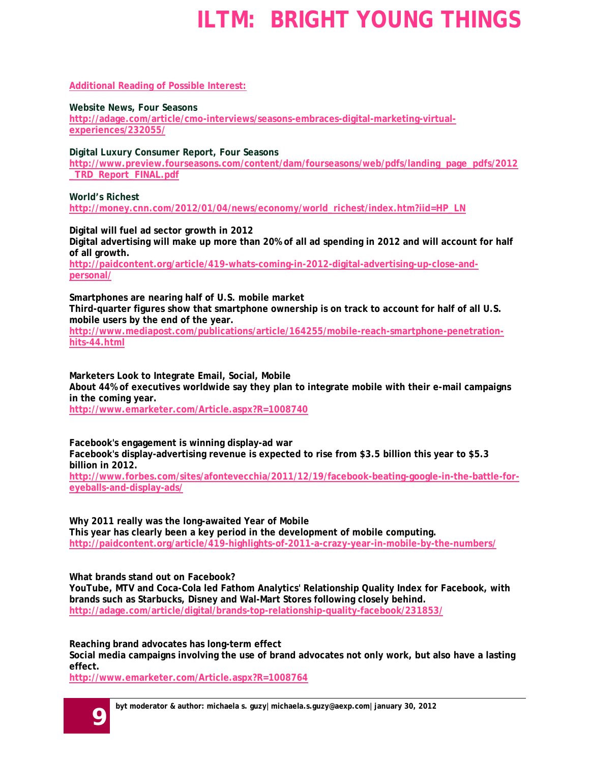**Additional Reading of Possible Interest:**

**Website News, Four Seasons**

**[http://adage.com/article/cmo-interviews/seasons-embraces-digital-marketing-virtual](http://adage.com/article/cmo-interviews/seasons-embraces-digital-marketing-virtual-experiences/232055/)[experiences/232055/](http://adage.com/article/cmo-interviews/seasons-embraces-digital-marketing-virtual-experiences/232055/)**

**Digital Luxury Consumer Report, Four Seasons**

**[http://www.preview.fourseasons.com/content/dam/fourseasons/web/pdfs/landing\\_page\\_pdfs/2012](http://www.preview.fourseasons.com/content/dam/fourseasons/web/pdfs/landing_page_pdfs/2012_TRD_Report_FINAL.pdf) [\\_TRD\\_Report\\_FINAL.pdf](http://www.preview.fourseasons.com/content/dam/fourseasons/web/pdfs/landing_page_pdfs/2012_TRD_Report_FINAL.pdf)**

**World's Richest**

**[http://money.cnn.com/2012/01/04/news/economy/world\\_richest/index.htm?iid=HP\\_LN](http://money.cnn.com/2012/01/04/news/economy/world_richest/index.htm?iid=HP_LN)**

**Digital will fuel ad sector growth in 2012**

**Digital advertising will make up more than 20% of all ad spending in 2012 and will account for half of all growth.**

**[http://paidcontent.org/article/419-whats-coming-in-2012-digital-advertising-up-close-and](http://paidcontent.org/article/419-whats-coming-in-2012-digital-advertising-up-close-and-personal/)[personal/](http://paidcontent.org/article/419-whats-coming-in-2012-digital-advertising-up-close-and-personal/)**

**Smartphones are nearing half of U.S. mobile market Third-quarter figures show that smartphone ownership is on track to account for half of all U.S. mobile users by the end of the year.**

**[http://www.mediapost.com/publications/article/164255/mobile-reach-smartphone-penetration](http://www.mediapost.com/publications/article/164255/mobile-reach-smartphone-penetration-hits-44.html)[hits-44.html](http://www.mediapost.com/publications/article/164255/mobile-reach-smartphone-penetration-hits-44.html)**

**Marketers Look to Integrate Email, Social, Mobile About 44% of executives worldwide say they plan to integrate mobile with their e-mail campaigns in the coming year.**

**<http://www.emarketer.com/Article.aspx?R=1008740>**

**Facebook's engagement is winning display-ad war Facebook's display-advertising revenue is expected to rise from \$3.5 billion this year to \$5.3 billion in 2012. [http://www.forbes.com/sites/afontevecchia/2011/12/19/facebook-beating-google-in-the-battle-for](http://www.forbes.com/sites/afontevecchia/2011/12/19/facebook-beating-google-in-the-battle-for-eyeballs-and-display-ads/)[eyeballs-and-display-ads/](http://www.forbes.com/sites/afontevecchia/2011/12/19/facebook-beating-google-in-the-battle-for-eyeballs-and-display-ads/)**

**Why 2011 really was the long-awaited Year of Mobile This year has clearly been a key period in the development of mobile computing. <http://paidcontent.org/article/419-highlights-of-2011-a-crazy-year-in-mobile-by-the-numbers/>**

**What brands stand out on Facebook?**

**YouTube, MTV and Coca-Cola led Fathom Analytics' Relationship Quality Index for Facebook, with brands such as Starbucks, Disney and Wal-Mart Stores following closely behind. <http://adage.com/article/digital/brands-top-relationship-quality-facebook/231853/>**

**Reaching brand advocates has long-term effect**

**Social media campaigns involving the use of brand advocates not only work, but also have a lasting effect.**

**<http://www.emarketer.com/Article.aspx?R=1008764>**

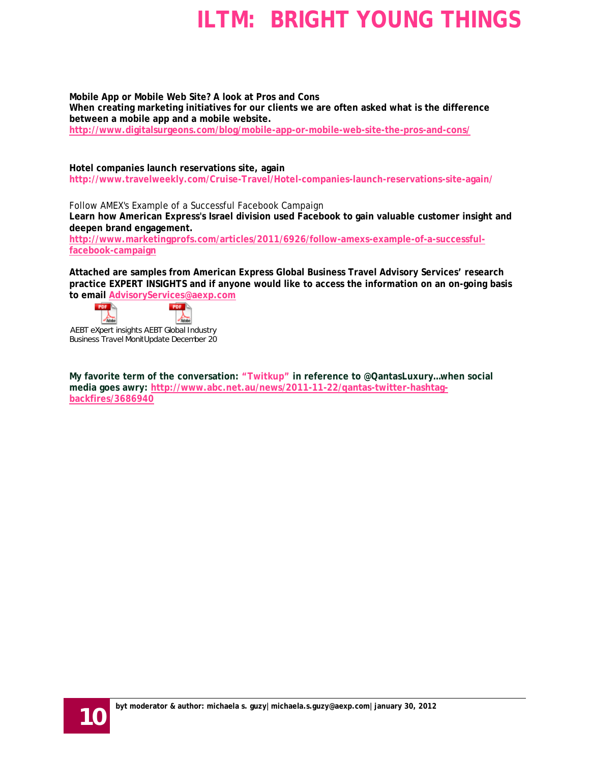**Mobile App or Mobile Web Site? A look at Pros and Cons When creating marketing initiatives for our clients we are often asked what is the difference between a mobile app and a mobile website. <http://www.digitalsurgeons.com/blog/mobile-app-or-mobile-web-site-the-pros-and-cons/>**

**Hotel companies launch reservations site, again http://www.travelweekly.com/Cruise-Travel/Hotel-companies-launch-reservations-site-again/**

Follow AMEX's Example of a Successful Facebook Campaign **Learn how American Express's Israel division used Facebook to gain valuable customer insight and deepen brand engagement.**

**[http://www.marketingprofs.com/articles/2011/6926/follow-amexs-example-of-a-successful](http://www.marketingprofs.com/articles/2011/6926/follow-amexs-example-of-a-successful-facebook-campaign)[facebook-campaign](http://www.marketingprofs.com/articles/2011/6926/follow-amexs-example-of-a-successful-facebook-campaign)**

**Attached are samples from American Express Global Business Travel Advisory Services' research practice EXPERT INSIGHTS and if anyone would like to access the information on an on-going basis to email [AdvisoryServices@aexp.com](mailto:AdvisoryServices@aexp.com)**



AEBT eXpert insights AEBT Global Industry Business Travel Monit Update December 201

 $POF$ 

 $\frac{1}{2}$ 

**My favorite term of the conversation: "Twitkup" in reference to @QantasLuxury…when social media goes awry: [http://www.abc.net.au/news/2011-11-22/qantas-twitter-hashtag](http://www.abc.net.au/news/2011-11-22/qantas-twitter-hashtag-backfires/3686940)[backfires/3686940](http://www.abc.net.au/news/2011-11-22/qantas-twitter-hashtag-backfires/3686940)**

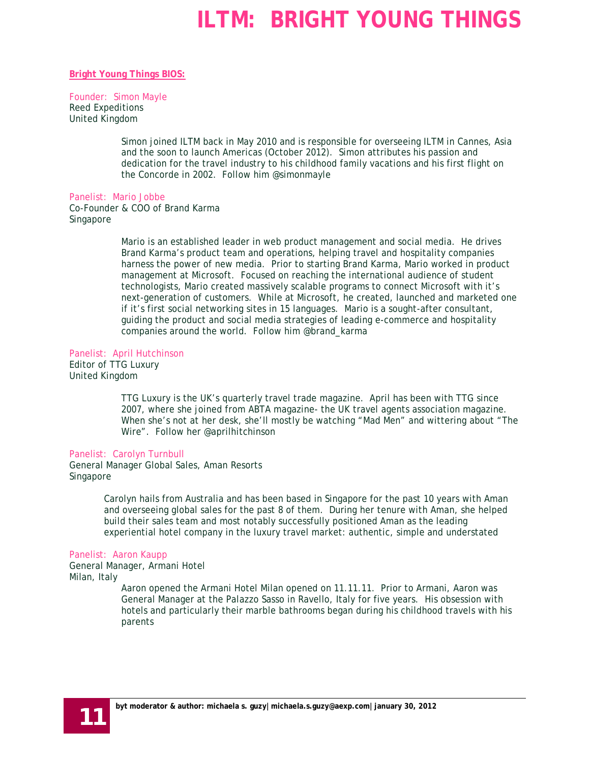#### **Bright Young Things BIOS:**

#### Founder: Simon Mayle

Reed Expeditions United Kingdom

> Simon joined ILTM back in May 2010 and is responsible for overseeing ILTM in Cannes, Asia and the soon to launch Americas (October 2012). Simon attributes his passion and dedication for the travel industry to his childhood family vacations and his first flight on the Concorde in 2002. Follow him @simonmayle

#### Panelist: Mario Jobbe

Co-Founder & COO of Brand Karma Singapore

> Mario is an established leader in web product management and social media. He drives Brand Karma's product team and operations, helping travel and hospitality companies harness the power of new media. Prior to starting Brand Karma, Mario worked in product management at Microsoft. Focused on reaching the international audience of student technologists, Mario created massively scalable programs to connect Microsoft with it's next-generation of customers. While at Microsoft, he created, launched and marketed one if it's first social networking sites in 15 languages. Mario is a sought-after consultant, guiding the product and social media strategies of leading e-commerce and hospitality companies around the world. Follow him @brand\_karma

#### Panelist: April Hutchinson

Editor of TTG Luxury United Kingdom

> TTG Luxury is the UK's quarterly travel trade magazine. April has been with TTG since 2007, where she joined from ABTA magazine- the UK travel agents association magazine. When she's not at her desk, she'll mostly be watching "Mad Men" and wittering about "The Wire". Follow her @aprilhitchinson

#### Panelist: Carolyn Turnbull

General Manager Global Sales, Aman Resorts Singapore

> Carolyn hails from Australia and has been based in Singapore for the past 10 years with Aman and overseeing global sales for the past 8 of them. During her tenure with Aman, she helped build their sales team and most notably successfully positioned Aman as the leading experiential hotel company in the luxury travel market: authentic, simple and understated

#### Panelist: Aaron Kaupp

General Manager, Armani Hotel Milan, Italy

Aaron opened the Armani Hotel Milan opened on 11.11.11. Prior to Armani, Aaron was General Manager at the Palazzo Sasso in Ravello, Italy for five years. His obsession with hotels and particularly their marble bathrooms began during his childhood travels with his parents

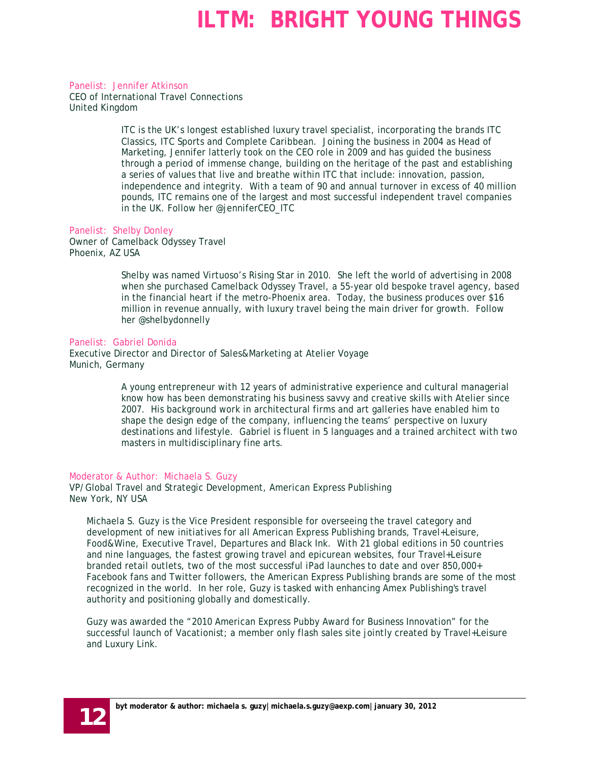Panelist: Jennifer Atkinson CEO of International Travel Connections United Kingdom

> ITC is the UK's longest established luxury travel specialist, incorporating the brands ITC Classics, ITC Sports and Complete Caribbean. Joining the business in 2004 as Head of Marketing, Jennifer latterly took on the CEO role in 2009 and has guided the business through a period of immense change, building on the heritage of the past and establishing a series of values that live and breathe within ITC that include: innovation, passion, independence and integrity. With a team of 90 and annual turnover in excess of 40 million pounds, ITC remains one of the largest and most successful independent travel companies in the UK. Follow her @jenniferCEO\_ITC

#### Panelist: Shelby Donley

Owner of Camelback Odyssey Travel Phoenix, AZ USA

> Shelby was named Virtuoso's Rising Star in 2010. She left the world of advertising in 2008 when she purchased Camelback Odyssey Travel, a 55-year old bespoke travel agency, based in the financial heart if the metro-Phoenix area. Today, the business produces over \$16 million in revenue annually, with luxury travel being the main driver for growth. Follow her @shelbydonnelly

#### Panelist: Gabriel Donida

Executive Director and Director of Sales&Marketing at Atelier Voyage Munich, Germany

> A young entrepreneur with 12 years of administrative experience and cultural managerial know how has been demonstrating his business savvy and creative skills with Atelier since 2007. His background work in architectural firms and art galleries have enabled him to shape the design edge of the company, influencing the teams' perspective on luxury destinations and lifestyle. Gabriel is fluent in 5 languages and a trained architect with two masters in multidisciplinary fine arts.

#### Moderator & Author: Michaela S. Guzy

VP/Global Travel and Strategic Development, American Express Publishing New York, NY USA

Michaela S. Guzy is the Vice President responsible for overseeing the travel category and development of new initiatives for all American Express Publishing brands, Travel+Leisure, Food&Wine, Executive Travel, Departures and Black Ink. With 21 global editions in 50 countries and nine languages, the fastest growing travel and epicurean websites, four Travel+Leisure branded retail outlets, two of the most successful iPad launches to date and over 850,000+ Facebook fans and Twitter followers, the American Express Publishing brands are some of the most recognized in the world. In her role, Guzy is tasked with enhancing Amex Publishing's travel authority and positioning globally and domestically.

Guzy was awarded the "2010 American Express Pubby Award for Business Innovation" for the successful launch of Vacationist; a member only flash sales site jointly created by Travel+Leisure and Luxury Link.